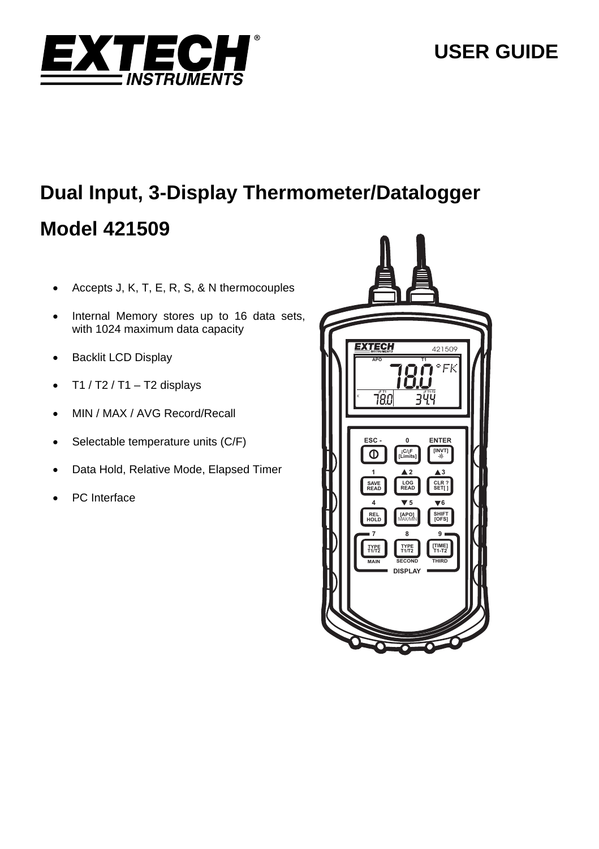

# **Dual Input, 3-Display Thermometer/Datalogger Model 421509**

- Accepts J, K, T, E, R, S, & N thermocouples
- Internal Memory stores up to 16 data sets, with 1024 maximum data capacity
- Backlit LCD Display
- $\bullet$  T1 / T2 / T1 T2 displays
- MIN / MAX / AVG Record/Recall
- $\bullet$  Selectable temperature units (C/F)
- Data Hold, Relative Mode, Elapsed Timer
- PC Interface

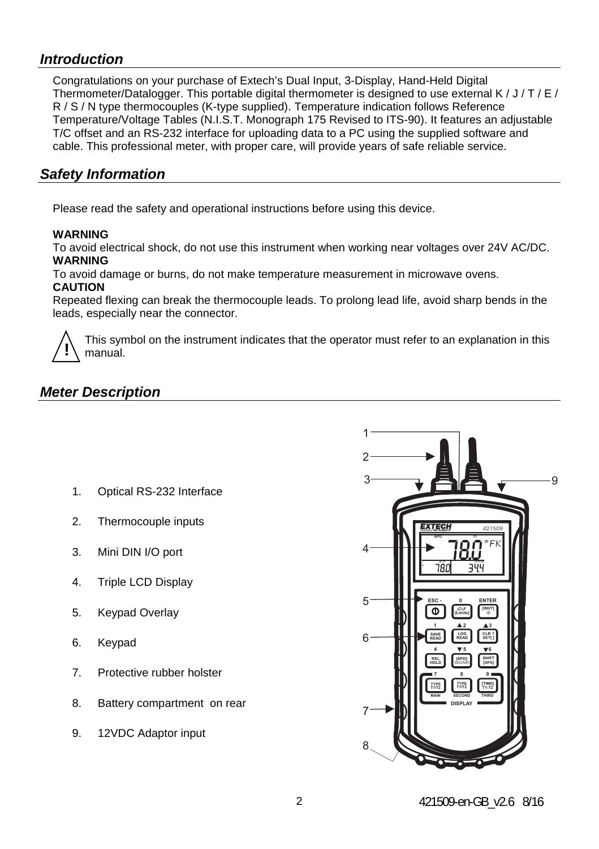## *Introduction*

Congratulations on your purchase of Extech's Dual Input, 3-Display, Hand-Held Digital Thermometer/Datalogger. This portable digital thermometer is designed to use external K  $/ J / T / F /$ R / S / N type thermocouples (K-type supplied). Temperature indication follows Reference Temperature/Voltage Tables (N.I.S.T. Monograph 175 Revised to ITS-90). It features an adjustable T/C offset and an RS-232 interface for uploading data to a PC using the supplied software and cable. This professional meter, with proper care, will provide years of safe reliable service.

## *Safety Information*

Please read the safety and operational instructions before using this device.

#### **WARNING**

To avoid electrical shock, do not use this instrument when working near voltages over 24V AC/DC. **WARNING** 

To avoid damage or burns, do not make temperature measurement in microwave ovens. **CAUTION** 

Repeated flexing can break the thermocouple leads. To prolong lead life, avoid sharp bends in the leads, especially near the connector.



This symbol on the instrument indicates that the operator must refer to an explanation in this manual.

## *Meter Description*

- 1. Optical RS-232 Interface
- 2. Thermocouple inputs
- 3. Mini DIN I/O port
- 4. Triple LCD Display
- 5. Keypad Overlay
- 6. Keypad
- 7. Protective rubber holster
- 8. Battery compartment on rear
- 9. 12VDC Adaptor input

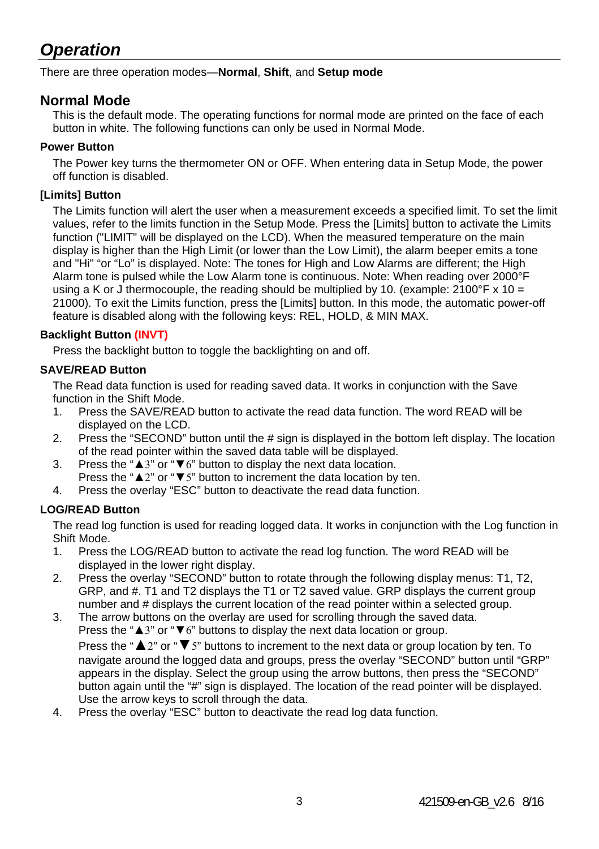## *Operation*

There are three operation modes—**Normal**, **Shift**, and **Setup mode**

### **Normal Mode**

This is the default mode. The operating functions for normal mode are printed on the face of each button in white. The following functions can only be used in Normal Mode.

#### **Power Button**

The Power key turns the thermometer ON or OFF. When entering data in Setup Mode, the power off function is disabled.

#### **[Limits] Button**

The Limits function will alert the user when a measurement exceeds a specified limit. To set the limit values, refer to the limits function in the Setup Mode. Press the [Limits] button to activate the Limits function ("LIMIT" will be displayed on the LCD). When the measured temperature on the main display is higher than the High Limit (or lower than the Low Limit), the alarm beeper emits a tone and "Hi" "or "Lo" is displayed. Note: The tones for High and Low Alarms are different; the High Alarm tone is pulsed while the Low Alarm tone is continuous. Note: When reading over 2000°F using a K or J thermocouple, the reading should be multiplied by 10. (example:  $2100^{\circ}$ F x 10 = 21000). To exit the Limits function, press the [Limits] button. In this mode, the automatic power-off feature is disabled along with the following keys: REL, HOLD, & MIN MAX.

#### **Backlight Button (INVT)**

Press the backlight button to toggle the backlighting on and off.

#### **SAVE/READ Button**

The Read data function is used for reading saved data. It works in conjunction with the Save function in the Shift Mode.

- 1. Press the SAVE/READ button to activate the read data function. The word READ will be displayed on the LCD.
- 2. Press the "SECOND" button until the # sign is displayed in the bottom left display. The location of the read pointer within the saved data table will be displayed.
- 3. Press the "▲3" or "▼6" button to display the next data location. Press the "▲2" or "▼5" button to increment the data location by ten.
- 4. Press the overlay "ESC" button to deactivate the read data function.

#### **LOG/READ Button**

The read log function is used for reading logged data. It works in conjunction with the Log function in Shift Mode.

- 1. Press the LOG/READ button to activate the read log function. The word READ will be displayed in the lower right display.
- 2. Press the overlay "SECOND" button to rotate through the following display menus: T1, T2, GRP, and #. T1 and T2 displays the T1 or T2 saved value. GRP displays the current group number and # displays the current location of the read pointer within a selected group.
- 3. The arrow buttons on the overlay are used for scrolling through the saved data. Press the "▲3" or "▼6" buttons to display the next data location or group. Press the "▲2" or "▼5" buttons to increment to the next data or group location by ten. To navigate around the logged data and groups, press the overlay "SECOND" button until "GRP" appears in the display. Select the group using the arrow buttons, then press the "SECOND" button again until the "#" sign is displayed. The location of the read pointer will be displayed. Use the arrow keys to scroll through the data.
- 4. Press the overlay "ESC" button to deactivate the read log data function.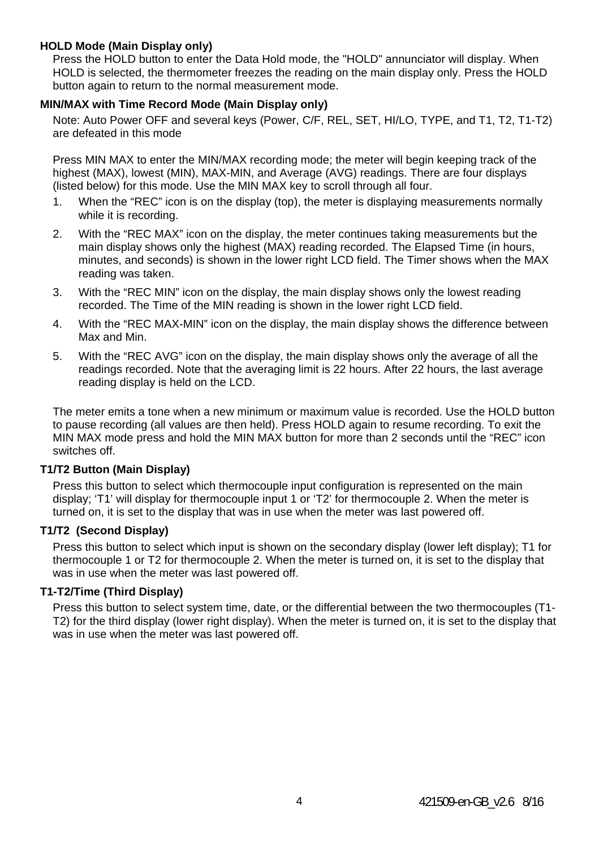#### **HOLD Mode (Main Display only)**

Press the HOLD button to enter the Data Hold mode, the "HOLD" annunciator will display. When HOLD is selected, the thermometer freezes the reading on the main display only. Press the HOLD button again to return to the normal measurement mode.

#### **MIN/MAX with Time Record Mode (Main Display only)**

Note: Auto Power OFF and several keys (Power, C/F, REL, SET, HI/LO, TYPE, and T1, T2, T1-T2) are defeated in this mode

Press MIN MAX to enter the MIN/MAX recording mode; the meter will begin keeping track of the highest (MAX), lowest (MIN), MAX-MIN, and Average (AVG) readings. There are four displays (listed below) for this mode. Use the MIN MAX key to scroll through all four.

- 1. When the "REC" icon is on the display (top), the meter is displaying measurements normally while it is recording.
- 2. With the "REC MAX" icon on the display, the meter continues taking measurements but the main display shows only the highest (MAX) reading recorded. The Elapsed Time (in hours, minutes, and seconds) is shown in the lower right LCD field. The Timer shows when the MAX reading was taken.
- 3. With the "REC MIN" icon on the display, the main display shows only the lowest reading recorded. The Time of the MIN reading is shown in the lower right LCD field.
- 4. With the "REC MAX-MIN" icon on the display, the main display shows the difference between Max and Min.
- 5. With the "REC AVG" icon on the display, the main display shows only the average of all the readings recorded. Note that the averaging limit is 22 hours. After 22 hours, the last average reading display is held on the LCD.

The meter emits a tone when a new minimum or maximum value is recorded. Use the HOLD button to pause recording (all values are then held). Press HOLD again to resume recording. To exit the MIN MAX mode press and hold the MIN MAX button for more than 2 seconds until the "REC" icon switches off.

#### **T1/T2 Button (Main Display)**

Press this button to select which thermocouple input configuration is represented on the main display; 'T1' will display for thermocouple input 1 or 'T2' for thermocouple 2. When the meter is turned on, it is set to the display that was in use when the meter was last powered off.

#### **T1/T2 (Second Display)**

Press this button to select which input is shown on the secondary display (lower left display); T1 for thermocouple 1 or T2 for thermocouple 2. When the meter is turned on, it is set to the display that was in use when the meter was last powered off.

#### **T1-T2/Time (Third Display)**

Press this button to select system time, date, or the differential between the two thermocouples (T1- T2) for the third display (lower right display). When the meter is turned on, it is set to the display that was in use when the meter was last powered off.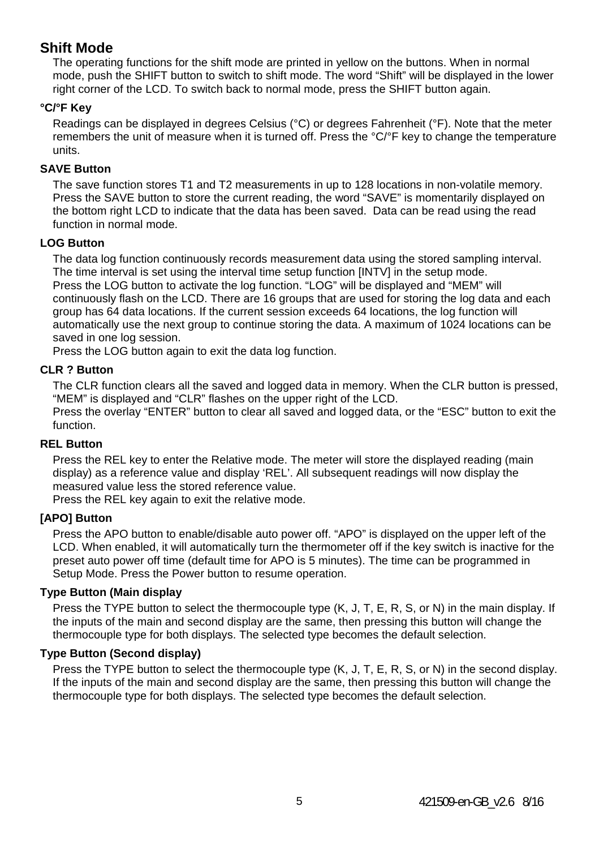## **Shift Mode**

The operating functions for the shift mode are printed in yellow on the buttons. When in normal mode, push the SHIFT button to switch to shift mode. The word "Shift" will be displayed in the lower right corner of the LCD. To switch back to normal mode, press the SHIFT button again.

#### **°C/°F Key**

Readings can be displayed in degrees Celsius (°C) or degrees Fahrenheit (°F). Note that the meter remembers the unit of measure when it is turned off. Press the °C/°F key to change the temperature units.

#### **SAVE Button**

The save function stores T1 and T2 measurements in up to 128 locations in non-volatile memory. Press the SAVE button to store the current reading, the word "SAVE" is momentarily displayed on the bottom right LCD to indicate that the data has been saved. Data can be read using the read function in normal mode.

#### **LOG Button**

The data log function continuously records measurement data using the stored sampling interval. The time interval is set using the interval time setup function [INTV] in the setup mode. Press the LOG button to activate the log function. "LOG" will be displayed and "MEM" will continuously flash on the LCD. There are 16 groups that are used for storing the log data and each group has 64 data locations. If the current session exceeds 64 locations, the log function will automatically use the next group to continue storing the data. A maximum of 1024 locations can be saved in one log session.

Press the LOG button again to exit the data log function.

#### **CLR ? Button**

The CLR function clears all the saved and logged data in memory. When the CLR button is pressed, "MEM" is displayed and "CLR" flashes on the upper right of the LCD.

Press the overlay "ENTER" button to clear all saved and logged data, or the "ESC" button to exit the function.

#### **REL Button**

Press the REL key to enter the Relative mode. The meter will store the displayed reading (main display) as a reference value and display 'REL'. All subsequent readings will now display the measured value less the stored reference value.

Press the REL key again to exit the relative mode.

#### **[APO] Button**

Press the APO button to enable/disable auto power off. "APO" is displayed on the upper left of the LCD. When enabled, it will automatically turn the thermometer off if the key switch is inactive for the preset auto power off time (default time for APO is 5 minutes). The time can be programmed in Setup Mode. Press the Power button to resume operation.

#### **Type Button (Main display**

Press the TYPE button to select the thermocouple type (K, J, T, E, R, S, or N) in the main display. If the inputs of the main and second display are the same, then pressing this button will change the thermocouple type for both displays. The selected type becomes the default selection.

#### **Type Button (Second display)**

Press the TYPE button to select the thermocouple type (K, J, T, E, R, S, or N) in the second display. If the inputs of the main and second display are the same, then pressing this button will change the thermocouple type for both displays. The selected type becomes the default selection.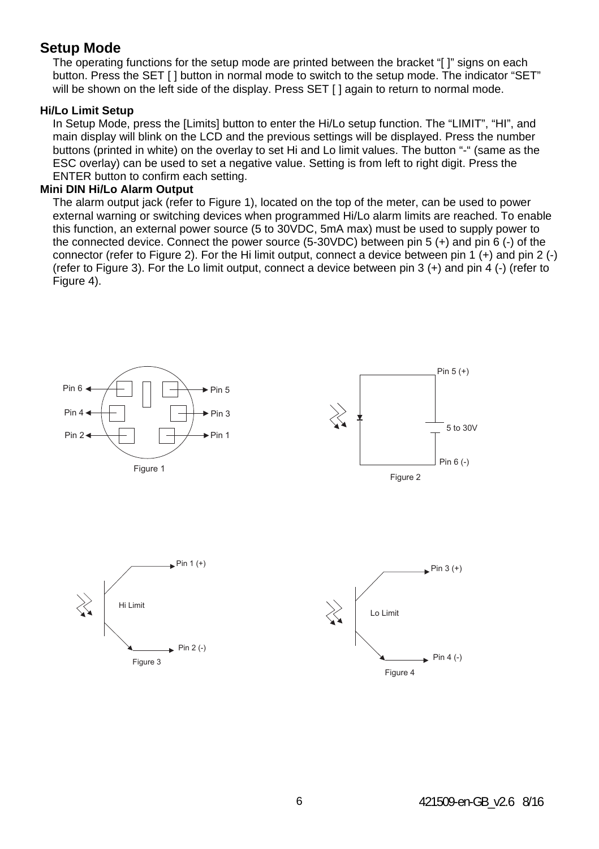### **Setup Mode**

The operating functions for the setup mode are printed between the bracket "[]" signs on each button. Press the SET [ ] button in normal mode to switch to the setup mode. The indicator "SET" will be shown on the left side of the display. Press SET [ ] again to return to normal mode.

#### **Hi/Lo Limit Setup**

In Setup Mode, press the [Limits] button to enter the Hi/Lo setup function. The "LIMIT", "HI", and main display will blink on the LCD and the previous settings will be displayed. Press the number buttons (printed in white) on the overlay to set Hi and Lo limit values. The button "-" (same as the ESC overlay) can be used to set a negative value. Setting is from left to right digit. Press the ENTER button to confirm each setting.

#### **Mini DIN Hi/Lo Alarm Output**

The alarm output jack (refer to Figure 1), located on the top of the meter, can be used to power external warning or switching devices when programmed Hi/Lo alarm limits are reached. To enable this function, an external power source (5 to 30VDC, 5mA max) must be used to supply power to the connected device. Connect the power source (5-30VDC) between pin 5 (+) and pin 6 (-) of the connector (refer to Figure 2). For the Hi limit output, connect a device between pin 1 (+) and pin 2 (-) (refer to Figure 3). For the Lo limit output, connect a device between pin 3 (+) and pin 4 (-) (refer to Figure 4).







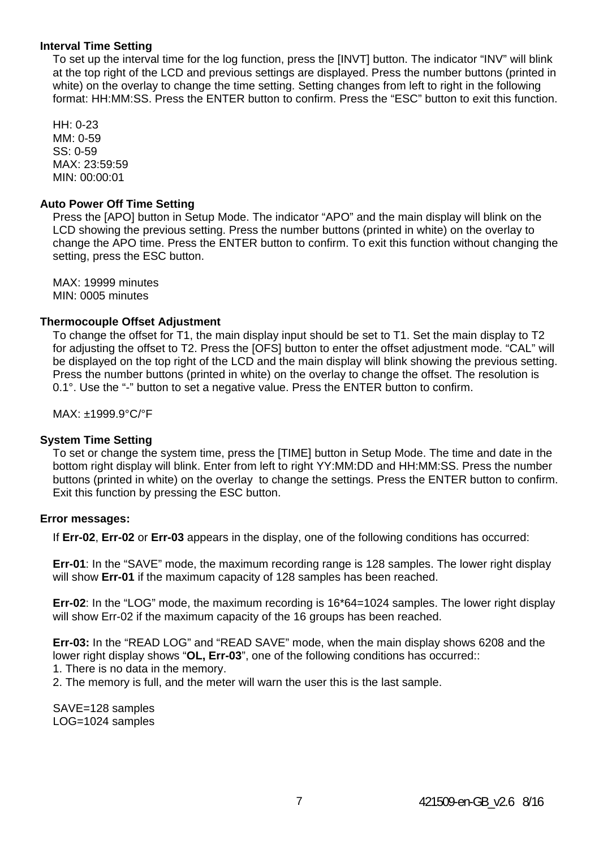#### **Interval Time Setting**

To set up the interval time for the log function, press the [INVT] button. The indicator "INV" will blink at the top right of the LCD and previous settings are displayed. Press the number buttons (printed in white) on the overlay to change the time setting. Setting changes from left to right in the following format: HH:MM:SS. Press the ENTER button to confirm. Press the "ESC" button to exit this function.

HH: 0-23 MM: 0-59 SS: 0-59 MAX: 23:59:59 MIN: 00:00:01

#### **Auto Power Off Time Setting**

Press the [APO] button in Setup Mode. The indicator "APO" and the main display will blink on the LCD showing the previous setting. Press the number buttons (printed in white) on the overlay to change the APO time. Press the ENTER button to confirm. To exit this function without changing the setting, press the ESC button.

MAX: 19999 minutes MIN: 0005 minutes

#### **Thermocouple Offset Adjustment**

To change the offset for T1, the main display input should be set to T1. Set the main display to T2 for adjusting the offset to T2. Press the [OFS] button to enter the offset adjustment mode. "CAL" will be displayed on the top right of the LCD and the main display will blink showing the previous setting. Press the number buttons (printed in white) on the overlay to change the offset. The resolution is 0.1°. Use the "-" button to set a negative value. Press the ENTER button to confirm.

MAX: ±1999.9°C/°F

#### **System Time Setting**

To set or change the system time, press the [TIME] button in Setup Mode. The time and date in the bottom right display will blink. Enter from left to right YY:MM:DD and HH:MM:SS. Press the number buttons (printed in white) on the overlay to change the settings. Press the ENTER button to confirm. Exit this function by pressing the ESC button.

#### **Error messages:**

If **Err-02**, **Err-02** or **Err-03** appears in the display, one of the following conditions has occurred:

**Err-01**: In the "SAVE" mode, the maximum recording range is 128 samples. The lower right display will show **Err-01** if the maximum capacity of 128 samples has been reached.

**Err-02**: In the "LOG" mode, the maximum recording is 16\*64=1024 samples. The lower right display will show Err-02 if the maximum capacity of the 16 groups has been reached.

**Err-03:** In the "READ LOG" and "READ SAVE" mode, when the main display shows 6208 and the lower right display shows "**OL, Err-03**", one of the following conditions has occurred:: 1. There is no data in the memory.

2. The memory is full, and the meter will warn the user this is the last sample.

SAVE=128 samples LOG=1024 samples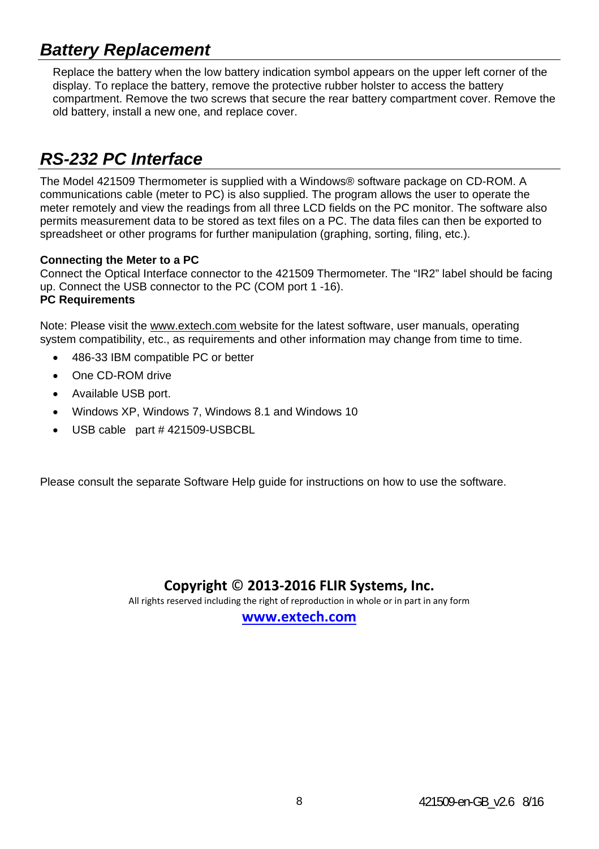## *Battery Replacement*

Replace the battery when the low battery indication symbol appears on the upper left corner of the display. To replace the battery, remove the protective rubber holster to access the battery compartment. Remove the two screws that secure the rear battery compartment cover. Remove the old battery, install a new one, and replace cover.

## *RS-232 PC Interface*

The Model 421509 Thermometer is supplied with a Windows® software package on CD-ROM. A communications cable (meter to PC) is also supplied. The program allows the user to operate the meter remotely and view the readings from all three LCD fields on the PC monitor. The software also permits measurement data to be stored as text files on a PC. The data files can then be exported to spreadsheet or other programs for further manipulation (graphing, sorting, filing, etc.).

#### **Connecting the Meter to a PC**

Connect the Optical Interface connector to the 421509 Thermometer. The "IR2" label should be facing up. Connect the USB connector to the PC (COM port 1 -16). **PC Requirements** 

Note: Please visit the www.extech.com website for the latest software, user manuals, operating system compatibility, etc., as requirements and other information may change from time to time.

- 486-33 IBM compatible PC or better
- One CD-ROM drive
- Available USB port.
- Windows XP, Windows 7, Windows 8.1 and Windows 10
- USB cable part # 421509-USBCBL

Please consult the separate Software Help guide for instructions on how to use the software.

## **Copyright** © **2013‐2016 FLIR Systems, Inc.**

All rights reserved including the right of reproduction in whole or in part in any form

**www.extech.com**